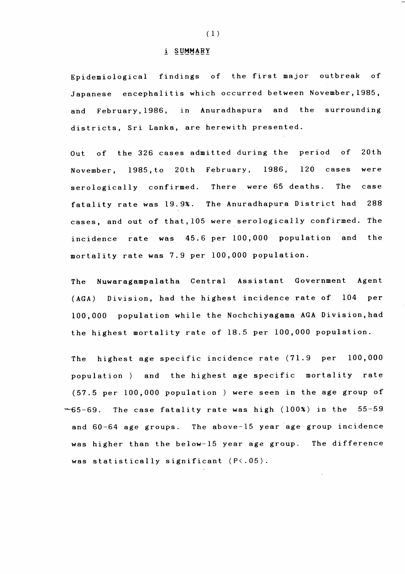## $(1)$

## **i S U M M A R Y**

**Epidemiological findings of the first major outbreak of Japanese encephalitis which occurred between November,1985,** and February, 1986, in Anuradhapura and the surrounding **districts, Sri Lanka, are herewith presented.**

**Out of the 326 cases admitted during the period of 20th November, 1985,to 20th February, 1986, 120 cases were serologically confirmed. There were 65 deaths. The case fatality rate was 19.9%. The Anuradhapura District had 288 cases, and out of that,105 were serologically confirmed. The incidence rate was 45.6 per 100,000 population and the mortality rate was 7.9 per 100,000 population.**

**The Nuwaragampalatha Central Assistant Government Agent (AGA) Division, had the highest incidence rate of 104 per**

**100,000 population while the Nochchiyagama AGA Division,had the highest mortality rate of 18.5 per 100,000 population.**

**The highest age specific incidence rate (71.9 per 100,000** population ) and the highest age specific mortality rate (57.5 per 100,000 population) were seen in the age group of **~~65-69. The case fatality rate was high (100%) in the 55-59 and 60-64 age groups. The above-15 year age group incidence was higher than the below-15 year age group. The difference**

## **was statistically significant (P<.05).**